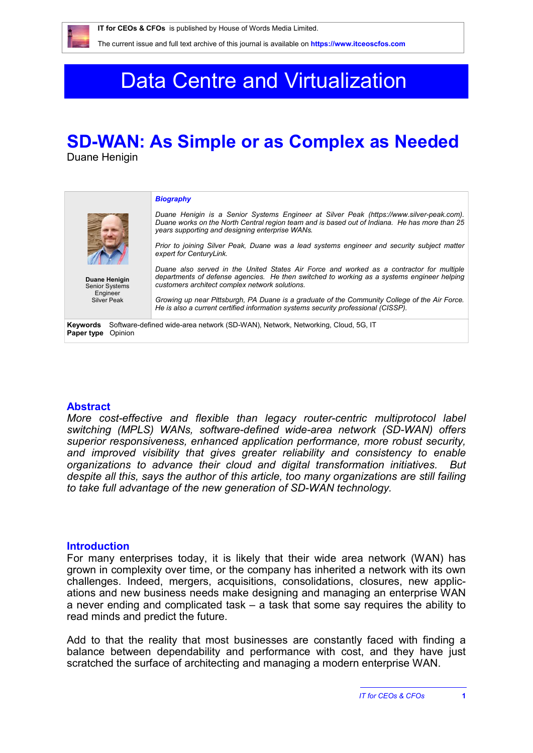# Data Centre and Virtualization

## **SD-WAN: As Simple or as Complex as Needed**

Duane Henigin

|                                                                                                                      | <b>Biography</b>                                                                                                                                                                                                                             |
|----------------------------------------------------------------------------------------------------------------------|----------------------------------------------------------------------------------------------------------------------------------------------------------------------------------------------------------------------------------------------|
|                                                                                                                      | Duane Henigin is a Senior Systems Engineer at Silver Peak (https://www.silver-peak.com).<br>Duane works on the North Central region team and is based out of Indiana. He has more than 25<br>years supporting and designing enterprise WANs. |
|                                                                                                                      | Prior to joining Silver Peak, Duane was a lead systems engineer and security subject matter<br>expert for CenturyLink.                                                                                                                       |
| Duane Henigin<br><b>Senior Systems</b>                                                                               | Duane also served in the United States Air Force and worked as a contractor for multiple<br>departments of defense agencies. He then switched to working as a systems engineer helping<br>customers architect complex network solutions.     |
| Engineer<br><b>Silver Peak</b>                                                                                       | Growing up near Pittsburgh, PA Duane is a graduate of the Community College of the Air Force.<br>He is also a current certified information systems security professional (CISSP).                                                           |
| Software-defined wide-area network (SD-WAN), Network, Networking, Cloud, 5G, IT<br>Keywords<br>Opinion<br>Paper type |                                                                                                                                                                                                                                              |
|                                                                                                                      |                                                                                                                                                                                                                                              |

#### **Abstract**

*More cost-effective and flexible than legacy router-centric multiprotocol label switching (MPLS) WANs, software-defined wide-area network (SD-WAN) offers superior responsiveness, enhanced application performance, more robust security, and improved visibility that gives greater reliability and consistency to enable organizations to advance their cloud and digital transformation initiatives. But despite all this, says the author of this article, too many organizations are still failing to take full advantage of the new generation of SD-WAN technology.*

#### **Introduction**

For many enterprises today, it is likely that their wide area network (WAN) has grown in complexity over time, or the company has inherited a network with its own challenges. Indeed, mergers, acquisitions, consolidations, closures, new applications and new business needs make designing and managing an enterprise WAN a never ending and complicated task – a task that some say requires the ability to read minds and predict the future.

Add to that the reality that most businesses are constantly faced with finding a balance between dependability and performance with cost, and they have just scratched the surface of architecting and managing a modern enterprise WAN.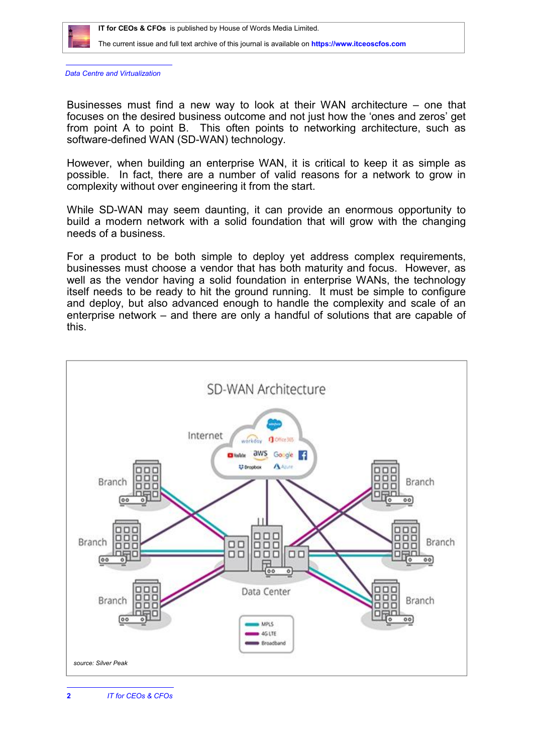

*Data Centre and Virtualization*

Businesses must find a new way to look at their WAN architecture – one that focuses on the desired business outcome and not just how the 'ones and zeros' get from point A to point B. This often points to networking architecture, such as software-defined WAN (SD-WAN) technology.

However, when building an enterprise WAN, it is critical to keep it as simple as possible. In fact, there are a number of valid reasons for a network to grow in complexity without over engineering it from the start.

While SD-WAN may seem daunting, it can provide an enormous opportunity to build a modern network with a solid foundation that will grow with the changing needs of a business.

For a product to be both simple to deploy yet address complex requirements, businesses must choose a vendor that has both maturity and focus. However, as well as the vendor having a solid foundation in enterprise WANs, the technology itself needs to be ready to hit the ground running. It must be simple to configure and deploy, but also advanced enough to handle the complexity and scale of an enterprise network – and there are only a handful of solutions that are capable of this.

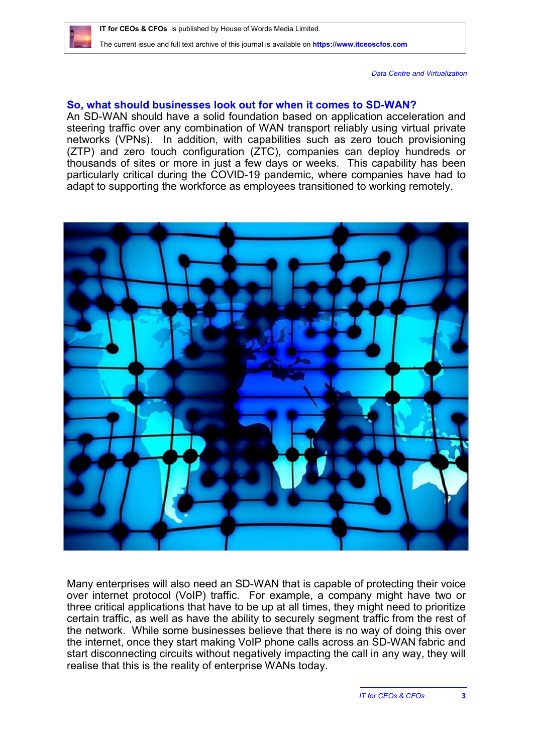*Data Centre and Virtualization*

### **So, what should businesses look out for when it comes to SD-WAN?**

An SD-WAN should have a solid foundation based on application acceleration and steering traffic over any combination of WAN transport reliably using virtual private networks (VPNs). In addition, with capabilities such as zero touch provisioning (ZTP) and zero touch configuration (ZTC), companies can deploy hundreds or thousands of sites or more in just a few days or weeks. This capability has been particularly critical during the COVID-19 pandemic, where companies have had to adapt to supporting the workforce as employees transitioned to working remotely.



Many enterprises will also need an SD-WAN that is capable of protecting their voice over internet protocol (VoIP) traffic. For example, a company might have two or three critical applications that have to be up at all times, they might need to prioritize certain traffic, as well as have the ability to securely segment traffic from the rest of the network. While some businesses believe that there is no way of doing this over the internet, once they start making VoIP phone calls across an SD-WAN fabric and start disconnecting circuits without negatively impacting the call in any way, they will realise that this is the reality of enterprise WANs today.